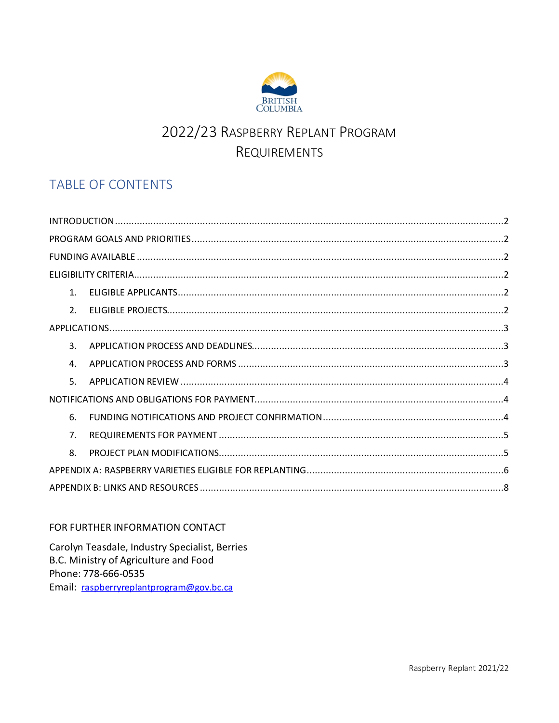

# 2022/23 RASPBERRY REPLANT PROGRAM REQUIREMENTS

## **TABLE OF CONTENTS**

| $1_{-}$        |  |  |  |
|----------------|--|--|--|
| 2 <sub>1</sub> |  |  |  |
|                |  |  |  |
| $\mathbf{R}$   |  |  |  |
| 4.             |  |  |  |
| 5.             |  |  |  |
|                |  |  |  |
| 6.             |  |  |  |
| 7 <sup>1</sup> |  |  |  |
| 8.             |  |  |  |
|                |  |  |  |
|                |  |  |  |

#### FOR FURTHER INFORMATION CONTACT

Carolyn Teasdale, Industry Specialist, Berries B.C. Ministry of Agriculture and Food Phone: 778-666-0535 Email: raspberryreplantprogram@gov.bc.ca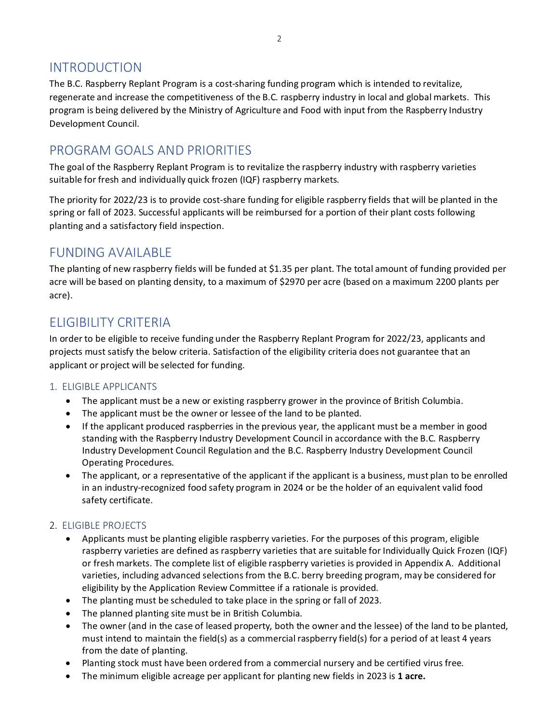### <span id="page-1-0"></span>INTRODUCTION

The B.C. Raspberry Replant Program is a cost-sharing funding program which is intended to revitalize, regenerate and increase the competitiveness of the B.C. raspberry industry in local and global markets. This program is being delivered by the Ministry of Agriculture and Food with input from the Raspberry Industry Development Council.

### <span id="page-1-1"></span>PROGRAM GOALS AND PRIORITIES

The goal of the Raspberry Replant Program is to revitalize the raspberry industry with raspberry varieties suitable for fresh and individually quick frozen (IQF) raspberry markets.

The priority for 2022/23 is to provide cost-share funding for eligible raspberry fields that will be planted in the spring or fall of 2023. Successful applicants will be reimbursed for a portion of their plant costs following planting and a satisfactory field inspection.

### <span id="page-1-2"></span>FUNDING AVAILABLE

The planting of new raspberry fields will be funded at \$1.35 per plant. The total amount of funding provided per acre will be based on planting density, to a maximum of \$2970 per acre (based on a maximum 2200 plants per acre).

### <span id="page-1-3"></span>ELIGIBILITY CRITERIA

In order to be eligible to receive funding under the Raspberry Replant Program for 2022/23, applicants and projects must satisfy the below criteria. Satisfaction of the eligibility criteria does not guarantee that an applicant or project will be selected for funding.

#### <span id="page-1-4"></span>1. ELIGIBLE APPLICANTS

- The applicant must be a new or existing raspberry grower in the province of British Columbia.
- The applicant must be the owner or lessee of the land to be planted.
- If the applicant produced raspberries in the previous year, the applicant must be a member in good standing with the Raspberry Industry Development Council in accordance with the B.C. Raspberry Industry Development Council Regulation and the B.C. Raspberry Industry Development Council Operating Procedures.
- The applicant, or a representative of the applicant if the applicant is a business, must plan to be enrolled in an industry-recognized food safety program in 2024 or be the holder of an equivalent valid food safety certificate.

#### <span id="page-1-5"></span>2. ELIGIBLE PROJECTS

- Applicants must be planting eligible raspberry varieties. For the purposes of this program, eligible raspberry varieties are defined as raspberry varieties that are suitable for Individually Quick Frozen (IQF) or fresh markets. The complete list of eligible raspberry varieties is provided in Appendix A. Additional varieties, including advanced selections from the B.C. berry breeding program, may be considered for eligibility by the Application Review Committee if a rationale is provided.
- The planting must be scheduled to take place in the spring or fall of 2023.
- The planned planting site must be in British Columbia.
- The owner (and in the case of leased property, both the owner and the lessee) of the land to be planted, must intend to maintain the field(s) as a commercial raspberry field(s) for a period of at least 4 years from the date of planting.
- Planting stock must have been ordered from a commercial nursery and be certified virus free.
- The minimum eligible acreage per applicant for planting new fields in 2023 is **1 acre.**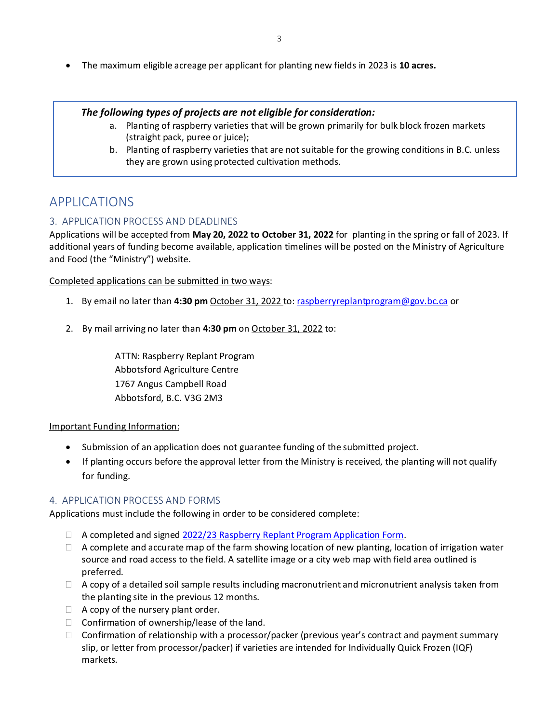• The maximum eligible acreage per applicant for planting new fields in 2023 is **10 acres.**

#### *The following types of projects are not eligible for consideration:*

- a. Planting of raspberry varieties that will be grown primarily for bulk block frozen markets (straight pack, puree or juice);
- b. Planting of raspberry varieties that are not suitable for the growing conditions in B.C. unless they are grown using protected cultivation methods.

### <span id="page-2-0"></span>APPLICATIONS

#### <span id="page-2-1"></span>3. APPLICATION PROCESS AND DEADLINES

Applications will be accepted from **May 20, 2022 to October 31, 2022** for planting in the spring or fall of 2023. If additional years of funding become available, application timelines will be posted on the Ministry of Agriculture and Food (the "Ministry") website.

Completed applications can be submitted in two ways:

- 1. By email no later than **4:30 pm** October 31, 2022 to: [raspberryreplantprogram@gov.bc.ca](mailto:raspberryreplantprogram@gov.bc.ca) or
- 2. By mail arriving no later than **4:30 pm** on October 31, 2022 to:

ATTN: Raspberry Replant Program Abbotsford Agriculture Centre 1767 Angus Campbell Road Abbotsford, B.C. V3G 2M3

#### Important Funding Information:

- Submission of an application does not guarantee funding of the submitted project.
- If planting occurs before the approval letter from the Ministry is received, the planting will not qualify for funding.

#### <span id="page-2-2"></span>4. APPLICATION PROCESS AND FORMS

Applications must include the following in order to be considered complete:

- $\Box$  A completed and signed [2022/23 Raspberry Replant Program Application Form.](https://www2.gov.bc.ca/assets/gov/farming-natural-resources-and-industry/agriculture-and-seafood/programs/raspberry-replant-program/raspberry_replant_application_form.docx)
- $\Box$  A complete and accurate map of the farm showing location of new planting, location of irrigation water source and road access to the field. A satellite image or a city web map with field area outlined is preferred.
- $\Box$  A copy of a detailed soil sample results including macronutrient and micronutrient analysis taken from the planting site in the previous 12 months.
- $\Box$  A copy of the nursery plant order.
- $\Box$  Confirmation of ownership/lease of the land.
- $\Box$  Confirmation of relationship with a processor/packer (previous year's contract and payment summary slip, or letter from processor/packer) if varieties are intended for Individually Quick Frozen (IQF) markets.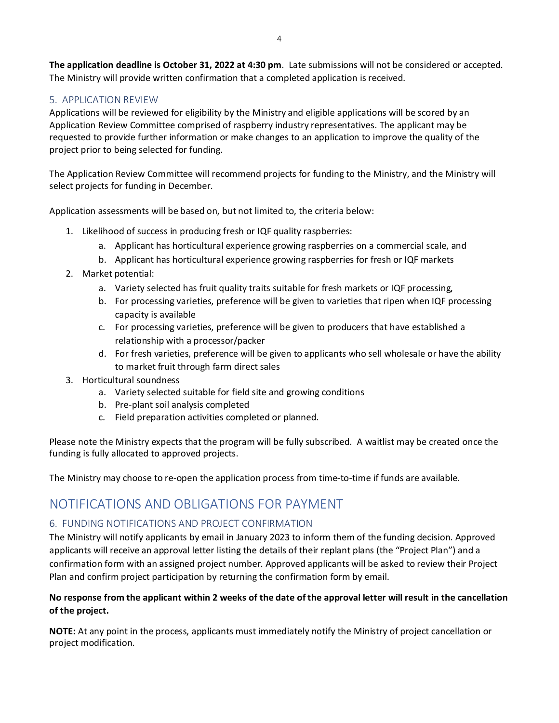**The application deadline is October 31, 2022 at 4:30 pm**. Late submissions will not be considered or accepted. The Ministry will provide written confirmation that a completed application is received.

#### <span id="page-3-0"></span>5. APPLICATION REVIEW

Applications will be reviewed for eligibility by the Ministry and eligible applications will be scored by an Application Review Committee comprised of raspberry industry representatives. The applicant may be requested to provide further information or make changes to an application to improve the quality of the project prior to being selected for funding.

The Application Review Committee will recommend projects for funding to the Ministry, and the Ministry will select projects for funding in December.

Application assessments will be based on, but not limited to, the criteria below:

- 1. Likelihood of success in producing fresh or IQF quality raspberries:
	- a. Applicant has horticultural experience growing raspberries on a commercial scale, and
	- b. Applicant has horticultural experience growing raspberries for fresh or IQF markets
- 2. Market potential:
	- a. Variety selected has fruit quality traits suitable for fresh markets or IQF processing,
	- b. For processing varieties, preference will be given to varieties that ripen when IQF processing capacity is available
	- c. For processing varieties, preference will be given to producers that have established a relationship with a processor/packer
	- d. For fresh varieties, preference will be given to applicants who sell wholesale or have the ability to market fruit through farm direct sales
- 3. Horticultural soundness
	- a. Variety selected suitable for field site and growing conditions
	- b. Pre-plant soil analysis completed
	- c. Field preparation activities completed or planned.

Please note the Ministry expects that the program will be fully subscribed. A waitlist may be created once the funding is fully allocated to approved projects.

<span id="page-3-1"></span>The Ministry may choose to re-open the application process from time-to-time if funds are available.

### NOTIFICATIONS AND OBLIGATIONS FOR PAYMENT

#### <span id="page-3-2"></span>6. FUNDING NOTIFICATIONS AND PROJECT CONFIRMATION

The Ministry will notify applicants by email in January 2023 to inform them of the funding decision. Approved applicants will receive an approval letter listing the details of their replant plans (the "Project Plan") and a confirmation form with an assigned project number. Approved applicants will be asked to review their Project Plan and confirm project participation by returning the confirmation form by email.

#### **No response from the applicant within 2 weeks of the date of the approval letter will result in the cancellation of the project.**

**NOTE:** At any point in the process, applicants must immediately notify the Ministry of project cancellation or project modification.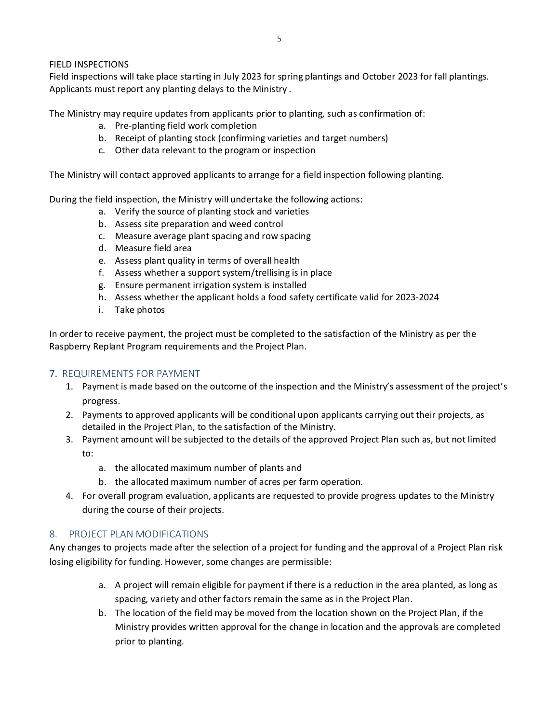#### FIELD INSPECTIONS

Field inspections will take place starting in July 2023 for spring plantings and October 2023 for fall plantings. Applicants must report any planting delays to the Ministry .

The Ministry may require updates from applicants prior to planting, such as confirmation of:

- a. Pre-planting field work completion
- b. Receipt of planting stock (confirming varieties and target numbers)
- c. Other data relevant to the program or inspection

The Ministry will contact approved applicants to arrange for a field inspection following planting.

During the field inspection, the Ministry will undertake the following actions:

- a. Verify the source of planting stock and varieties
- b. Assess site preparation and weed control
- c. Measure average plant spacing and row spacing
- d. Measure field area
- e. Assess plant quality in terms of overall health
- f. Assess whether a support system/trellising is in place
- g. Ensure permanent irrigation system is installed
- h. Assess whether the applicant holds a food safety certificate valid for 2023-2024
- i. Take photos

In order to receive payment, the project must be completed to the satisfaction of the Ministry as per the Raspberry Replant Program requirements and the Project Plan.

#### <span id="page-4-0"></span>7. REQUIREMENTS FOR PAYMENT

- 1. Payment is made based on the outcome of the inspection and the Ministry's assessment of the project's progress.
- 2. Payments to approved applicants will be conditional upon applicants carrying out their projects, as detailed in the Project Plan, to the satisfaction of the Ministry.
- 3. Payment amount will be subjected to the details of the approved Project Plan such as, but not limited to:
	- a. the allocated maximum number of plants and
	- b. the allocated maximum number of acres per farm operation.
- 4. For overall program evaluation, applicants are requested to provide progress updates to the Ministry during the course of their projects.

#### <span id="page-4-1"></span>8. PROJECT PLAN MODIFICATIONS

Any changes to projects made after the selection of a project for funding and the approval of a Project Plan risk losing eligibility for funding. However, some changes are permissible:

- a. A project will remain eligible for payment if there is a reduction in the area planted, as long as spacing, variety and other factors remain the same as in the Project Plan.
- b. The location of the field may be moved from the location shown on the Project Plan, if the Ministry provides written approval for the change in location and the approvals are completed prior to planting.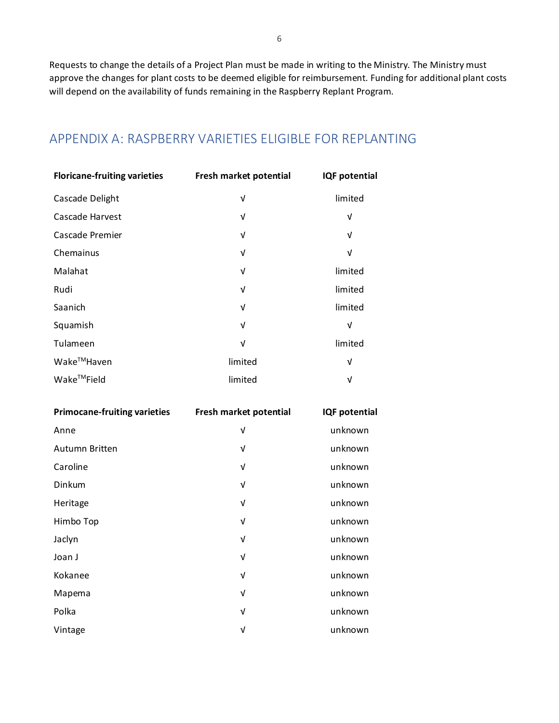Requests to change the details of a Project Plan must be made in writing to the Ministry. The Ministry must approve the changes for plant costs to be deemed eligible for reimbursement. Funding for additional plant costs will depend on the availability of funds remaining in the Raspberry Replant Program.

### <span id="page-5-0"></span>APPENDIX A: RASPBERRY VARIETIES ELIGIBLE FOR REPLANTING

| <b>Floricane-fruiting varieties</b> | Fresh market potential | <b>IQF</b> potential |
|-------------------------------------|------------------------|----------------------|
| Cascade Delight                     | ν                      | limited              |
| Cascade Harvest                     | V                      | V                    |
| Cascade Premier                     | V                      | V                    |
| Chemainus                           | V                      | V                    |
| Malahat                             | V                      | limited              |
| Rudi                                | V                      | limited              |
| Saanich                             | V                      | limited              |
| Squamish                            | V                      | V                    |
| Tulameen                            | V                      | limited              |
| Wake™Haven                          | limited                | V                    |
| Wake™Field                          | limited                | V                    |

| <b>Primocane-fruiting varieties</b> | Fresh market potential | <b>IQF</b> potential |
|-------------------------------------|------------------------|----------------------|
| Anne                                | V                      | unknown              |
| Autumn Britten                      | V                      | unknown              |
| Caroline                            | V                      | unknown              |
| Dinkum                              | V                      | unknown              |
| Heritage                            | V                      | unknown              |
| Himbo Top                           | $\sqrt{ }$             | unknown              |
| Jaclyn                              | V                      | unknown              |
| Joan J                              | V                      | unknown              |
| Kokanee                             | V                      | unknown              |
| Mapema                              | $\sqrt{ }$             | unknown              |
| Polka                               | $\sqrt{ }$             | unknown              |
| Vintage                             | V                      | unknown              |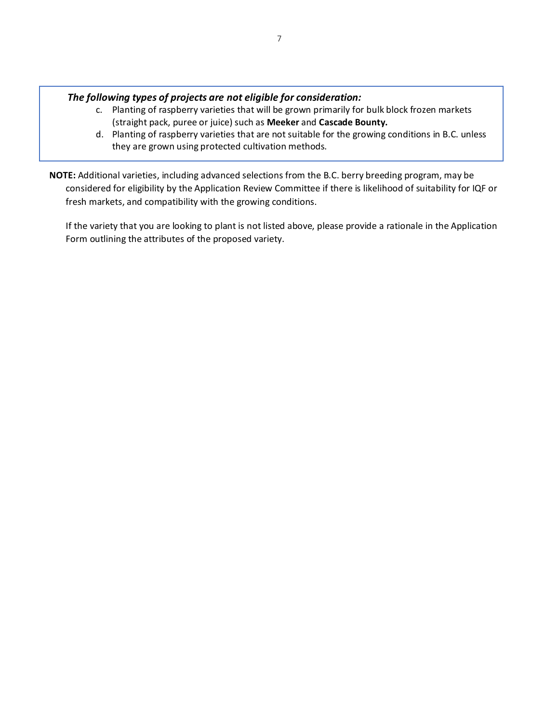#### *The following types of projects are not eligible for consideration:*

- c. Planting of raspberry varieties that will be grown primarily for bulk block frozen markets (straight pack, puree or juice) such as **Meeker** and **Cascade Bounty.**
- d. Planting of raspberry varieties that are not suitable for the growing conditions in B.C. unless they are grown using protected cultivation methods.
- **NOTE:** Additional varieties, including advanced selections from the B.C. berry breeding program, may be considered for eligibility by the Application Review Committee if there is likelihood of suitability for IQF or fresh markets, and compatibility with the growing conditions.

If the variety that you are looking to plant is not listed above, please provide a rationale in the Application Form outlining the attributes of the proposed variety.